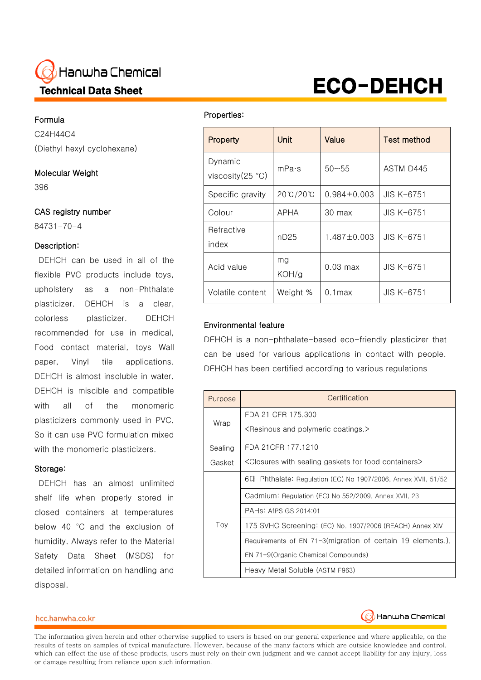# Hanwha Chemical 4 Technical Data Sheet

# Formula

Ξ

C24H44O4 (Diethyl hexyl cyclohexane)

# Molecular Weight

396

# CAS registry number

84731-70-4

# Description:

DEHCH can be used in all of the flexible PVC products include toys, upholstery as a non-Phthalate plasticizer. DEHCH is a clear, colorless plasticizer. DEHCH recommended for use in medical, Food contact material, toys Wall paper, Vinyl tile applications. DEHCH is almost insoluble in water. DEHCH is miscible and compatible with all of the monomeric plasticizers commonly used in PVC. So it can use PVC formulation mixed with the monomeric plasticizers.

#### Storage:

DEHCH has an almost unlimited shelf life when properly stored in closed containers at temperatures below 40 °C and the exclusion of humidity. Always refer to the Material Safety Data Sheet (MSDS) for detailed information on handling and disposal.

l,

#### Properties:

j.

| Property                     | Unit        | Value              | Test method  |  |
|------------------------------|-------------|--------------------|--------------|--|
| Dynamic<br>viscosity (25 °C) | mPa·s       | $50 - 55$          | ASTM D445    |  |
| Specific gravity             | 20℃/20℃     | $0.984 \pm 0.003$  | JIS K-6751   |  |
| Colour                       | APHA        | 30 max             | JIS K-6751   |  |
| Refractive<br>index          | nD25        | $1.487 \pm 0.003$  | JIS K-6751   |  |
| Acid value                   | mg<br>KOH/g | $0.03 \text{ max}$ | $JIS K-6751$ |  |
| Volatile content             | Weight %    | $0.1$ max          | JIS K-6751   |  |

ECO-DEHCH

# Environmental feature

DEHCH is a non-phthalate-based eco-friendly plasticizer that can be used for various applications in contact with people. DEHCH has been certified according to various regulations

| Purpose | Certification                                                                    |
|---------|----------------------------------------------------------------------------------|
|         | FDA 21 CFR 175,300                                                               |
| Wrap    | <resinous and="" coatings.="" polymeric=""></resinous>                           |
| Sealing | FDA 21 CFR 177, 1210                                                             |
| Gasket  | <closures containers="" food="" for="" gaskets="" sealing="" with=""></closures> |
| Toy     | 6대 Phthalate: Regulation (EC) No 1907/2006, Annex XVII, 51/52                    |
|         | Cadmium: Regulation (EC) No 552/2009, Annex XVII, 23                             |
|         | PAHs: AfPS GS 2014:01                                                            |
|         | 175 SVHC Screening: (EC) No. 1907/2006 (REACH) Annex XIV                         |
|         | Requirements of EN 71-3(migration of certain 19 elements.).                      |
|         | EN 71-9(Organic Chemical Compounds)                                              |
|         | Heavy Metal Soluble (ASTM F963)                                                  |

#### hcc.hanwha.co.kr



The information given herein and other otherwise supplied to users is based on our general experience and where applicable, on the results of tests on samples of typical manufacture. However, because of the many factors which are outside knowledge and control, which can effect the use of these products, users must rely on their own judgment and we cannot accept liability for any injury, loss or damage resulting from reliance upon such information.